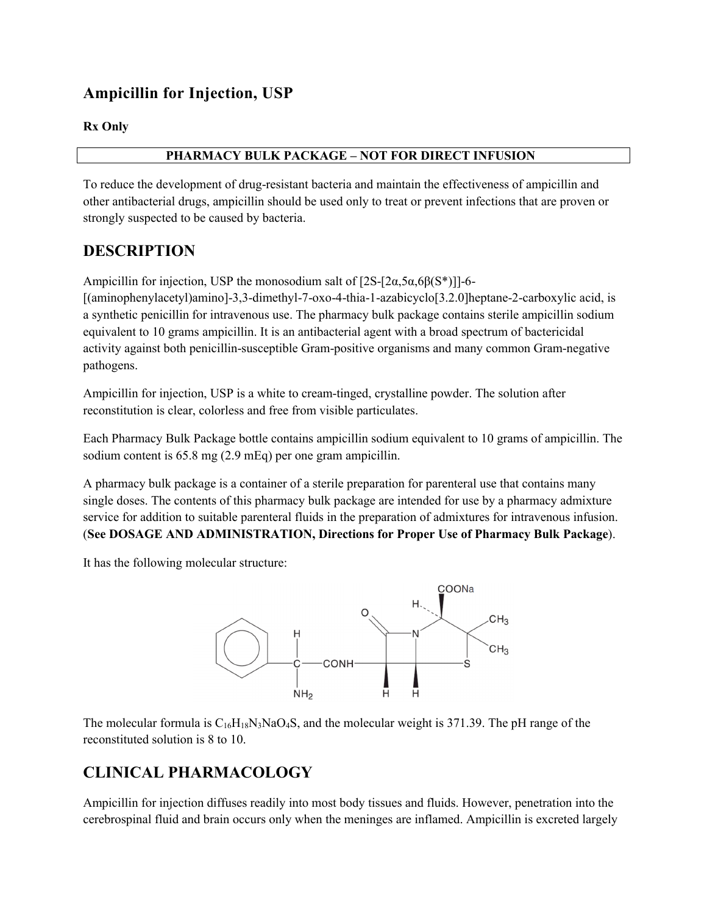## **Ampicillin for Injection, USP**

**Rx Only**

### **PHARMACY BULK PACKAGE – NOT FOR DIRECT INFUSION**

To reduce the development of drug-resistant bacteria and maintain the effectiveness of ampicillin and other antibacterial drugs, ampicillin should be used only to treat or prevent infections that are proven or strongly suspected to be caused by bacteria.

## **DESCRIPTION**

Ampicillin for injection, USP the monosodium salt of  $[2S-[2\alpha, 5\alpha, 6\beta(S^*)]]$ -6-

[(aminophenylacetyl)amino]-3,3-dimethyl-7-oxo-4-thia-1-azabicyclo[3.2.0]heptane-2-carboxylic acid, is a synthetic penicillin for intravenous use. The pharmacy bulk package contains sterile ampicillin sodium equivalent to 10 grams ampicillin. It is an antibacterial agent with a broad spectrum of bactericidal activity against both penicillin-susceptible Gram-positive organisms and many common Gram-negative pathogens.

Ampicillin for injection, USP is a white to cream-tinged, crystalline powder. The solution after reconstitution is clear, colorless and free from visible particulates.

Each Pharmacy Bulk Package bottle contains ampicillin sodium equivalent to 10 grams of ampicillin. The sodium content is 65.8 mg (2.9 mEq) per one gram ampicillin.

A pharmacy bulk package is a container of a sterile preparation for parenteral use that contains many single doses. The contents of this pharmacy bulk package are intended for use by a pharmacy admixture service for addition to suitable parenteral fluids in the preparation of admixtures for intravenous infusion. (**See DOSAGE AND ADMINISTRATION, Directions for Proper Use of Pharmacy Bulk Package**).

It has the following molecular structure:



The molecular formula is  $C_{16}H_{18}N_3NaO_4S$ , and the molecular weight is 371.39. The pH range of the reconstituted solution is 8 to 10.

# **CLINICAL PHARMACOLOGY**

Ampicillin for injection diffuses readily into most body tissues and fluids. However, penetration into the cerebrospinal fluid and brain occurs only when the meninges are inflamed. Ampicillin is excreted largely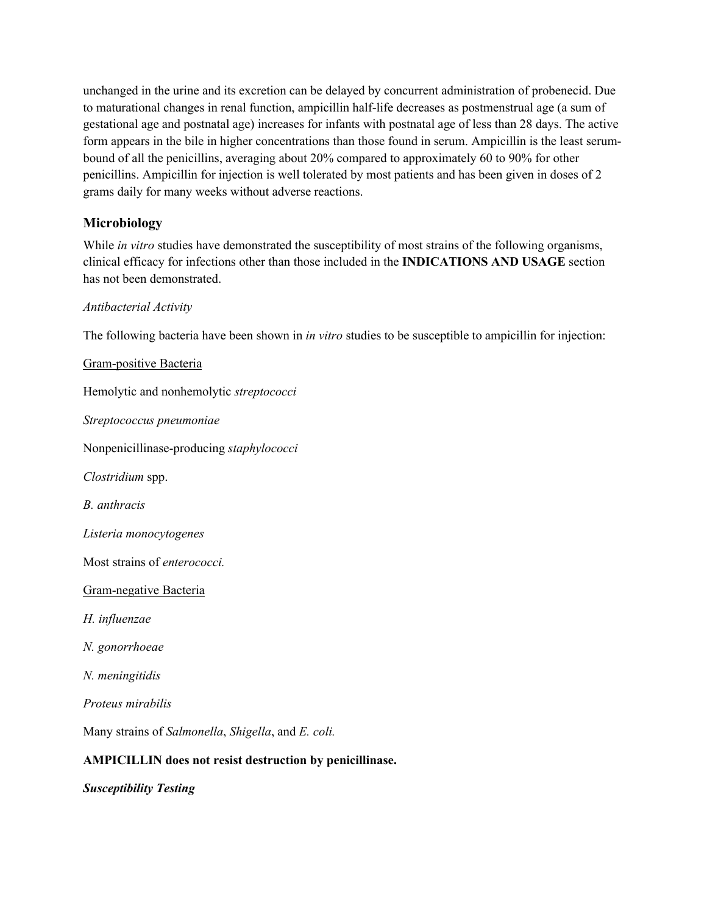unchanged in the urine and its excretion can be delayed by concurrent administration of probenecid. Due to maturational changes in renal function, ampicillin half-life decreases as postmenstrual age (a sum of gestational age and postnatal age) increases for infants with postnatal age of less than 28 days. The active form appears in the bile in higher concentrations than those found in serum. Ampicillin is the least serumbound of all the penicillins, averaging about 20% compared to approximately 60 to 90% for other penicillins. Ampicillin for injection is well tolerated by most patients and has been given in doses of 2 grams daily for many weeks without adverse reactions.

### **Microbiology**

While *in vitro* studies have demonstrated the susceptibility of most strains of the following organisms, clinical efficacy for infections other than those included in the **INDICATIONS AND USAGE** section has not been demonstrated.

#### *Antibacterial Activity*

The following bacteria have been shown in *in vitro* studies to be susceptible to ampicillin for injection:

#### Gram-positive Bacteria

Hemolytic and nonhemolytic *streptococci*

*Streptococcus pneumoniae*

Nonpenicillinase-producing *staphylococci*

*Clostridium* spp.

*B. anthracis*

*Listeria monocytogenes*

Most strains of *enterococci.*

Gram-negative Bacteria

*H. influenzae*

*N. gonorrhoeae*

*N. meningitidis*

*Proteus mirabilis*

Many strains of *Salmonella*, *Shigella*, and *E. coli.*

#### **AMPICILLIN does not resist destruction by penicillinase.**

*Susceptibility Testing*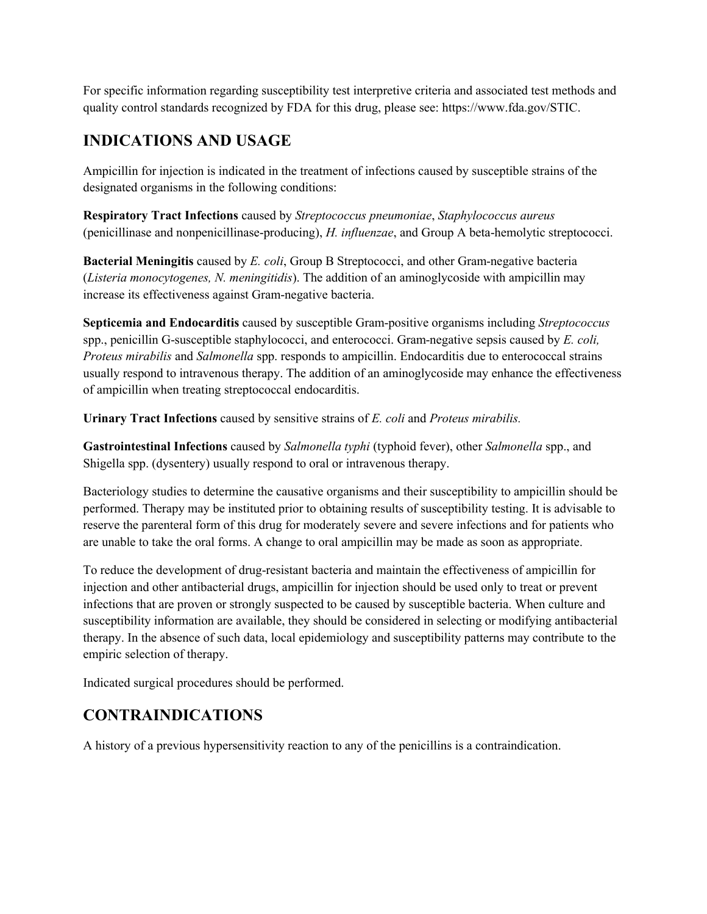For specific information regarding susceptibility test interpretive criteria and associated test methods and quality control standards recognized by FDA for this drug, please see: https://www.fda.gov/STIC.

# **INDICATIONS AND USAGE**

Ampicillin for injection is indicated in the treatment of infections caused by susceptible strains of the designated organisms in the following conditions:

**Respiratory Tract Infections** caused by *Streptococcus pneumoniae*, *Staphylococcus aureus* (penicillinase and nonpenicillinase-producing), *H. influenzae*, and Group A beta-hemolytic streptococci.

**Bacterial Meningitis** caused by *E. coli*, Group B Streptococci, and other Gram-negative bacteria (*Listeria monocytogenes, N. meningitidis*). The addition of an aminoglycoside with ampicillin may increase its effectiveness against Gram-negative bacteria.

**Septicemia and Endocarditis** caused by susceptible Gram-positive organisms including *Streptococcus* spp., penicillin G-susceptible staphylococci, and enterococci. Gram-negative sepsis caused by *E. coli, Proteus mirabilis* and *Salmonella* spp. responds to ampicillin. Endocarditis due to enterococcal strains usually respond to intravenous therapy. The addition of an aminoglycoside may enhance the effectiveness of ampicillin when treating streptococcal endocarditis.

**Urinary Tract Infections** caused by sensitive strains of *E. coli* and *Proteus mirabilis.*

**Gastrointestinal Infections** caused by *Salmonella typhi* (typhoid fever), other *Salmonella* spp., and Shigella spp. (dysentery) usually respond to oral or intravenous therapy.

Bacteriology studies to determine the causative organisms and their susceptibility to ampicillin should be performed. Therapy may be instituted prior to obtaining results of susceptibility testing. It is advisable to reserve the parenteral form of this drug for moderately severe and severe infections and for patients who are unable to take the oral forms. A change to oral ampicillin may be made as soon as appropriate.

To reduce the development of drug-resistant bacteria and maintain the effectiveness of ampicillin for injection and other antibacterial drugs, ampicillin for injection should be used only to treat or prevent infections that are proven or strongly suspected to be caused by susceptible bacteria. When culture and susceptibility information are available, they should be considered in selecting or modifying antibacterial therapy. In the absence of such data, local epidemiology and susceptibility patterns may contribute to the empiric selection of therapy.

Indicated surgical procedures should be performed.

# **CONTRAINDICATIONS**

A history of a previous hypersensitivity reaction to any of the penicillins is a contraindication.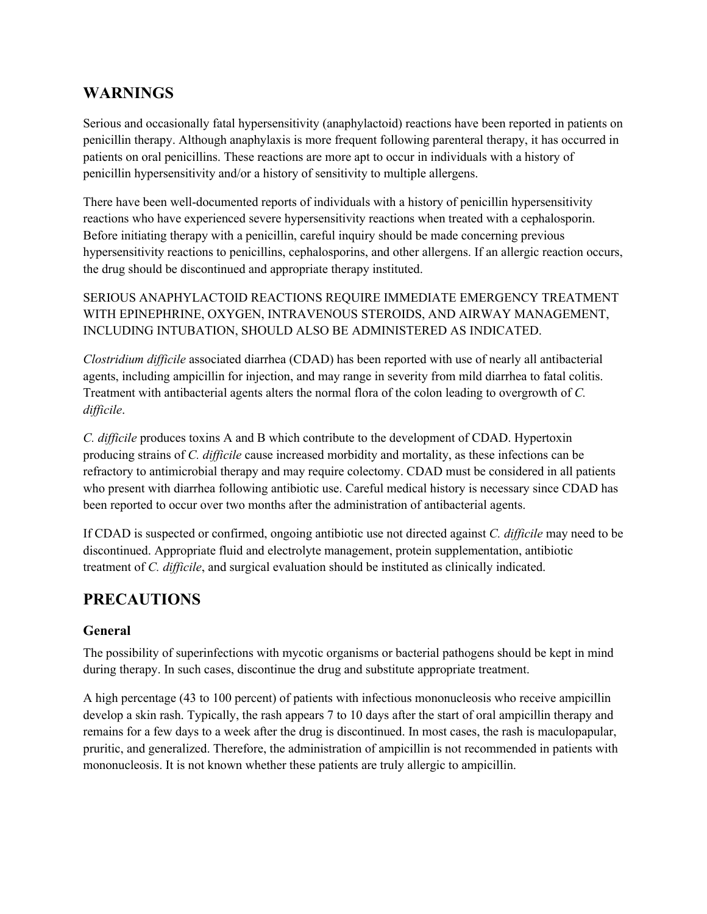## **WARNINGS**

Serious and occasionally fatal hypersensitivity (anaphylactoid) reactions have been reported in patients on penicillin therapy. Although anaphylaxis is more frequent following parenteral therapy, it has occurred in patients on oral penicillins. These reactions are more apt to occur in individuals with a history of penicillin hypersensitivity and/or a history of sensitivity to multiple allergens.

There have been well-documented reports of individuals with a history of penicillin hypersensitivity reactions who have experienced severe hypersensitivity reactions when treated with a cephalosporin. Before initiating therapy with a penicillin, careful inquiry should be made concerning previous hypersensitivity reactions to penicillins, cephalosporins, and other allergens. If an allergic reaction occurs, the drug should be discontinued and appropriate therapy instituted.

SERIOUS ANAPHYLACTOID REACTIONS REQUIRE IMMEDIATE EMERGENCY TREATMENT WITH EPINEPHRINE, OXYGEN, INTRAVENOUS STEROIDS, AND AIRWAY MANAGEMENT, INCLUDING INTUBATION, SHOULD ALSO BE ADMINISTERED AS INDICATED.

*Clostridium difficile* associated diarrhea (CDAD) has been reported with use of nearly all antibacterial agents, including ampicillin for injection, and may range in severity from mild diarrhea to fatal colitis. Treatment with antibacterial agents alters the normal flora of the colon leading to overgrowth of *C. difficile*.

*C. difficile* produces toxins A and B which contribute to the development of CDAD. Hypertoxin producing strains of *C. difficile* cause increased morbidity and mortality, as these infections can be refractory to antimicrobial therapy and may require colectomy. CDAD must be considered in all patients who present with diarrhea following antibiotic use. Careful medical history is necessary since CDAD has been reported to occur over two months after the administration of antibacterial agents.

If CDAD is suspected or confirmed, ongoing antibiotic use not directed against *C. difficile* may need to be discontinued. Appropriate fluid and electrolyte management, protein supplementation, antibiotic treatment of *C. difficile*, and surgical evaluation should be instituted as clinically indicated.

## **PRECAUTIONS**

## **General**

The possibility of superinfections with mycotic organisms or bacterial pathogens should be kept in mind during therapy. In such cases, discontinue the drug and substitute appropriate treatment.

A high percentage (43 to 100 percent) of patients with infectious mononucleosis who receive ampicillin develop a skin rash. Typically, the rash appears 7 to 10 days after the start of oral ampicillin therapy and remains for a few days to a week after the drug is discontinued. In most cases, the rash is maculopapular, pruritic, and generalized. Therefore, the administration of ampicillin is not recommended in patients with mononucleosis. It is not known whether these patients are truly allergic to ampicillin.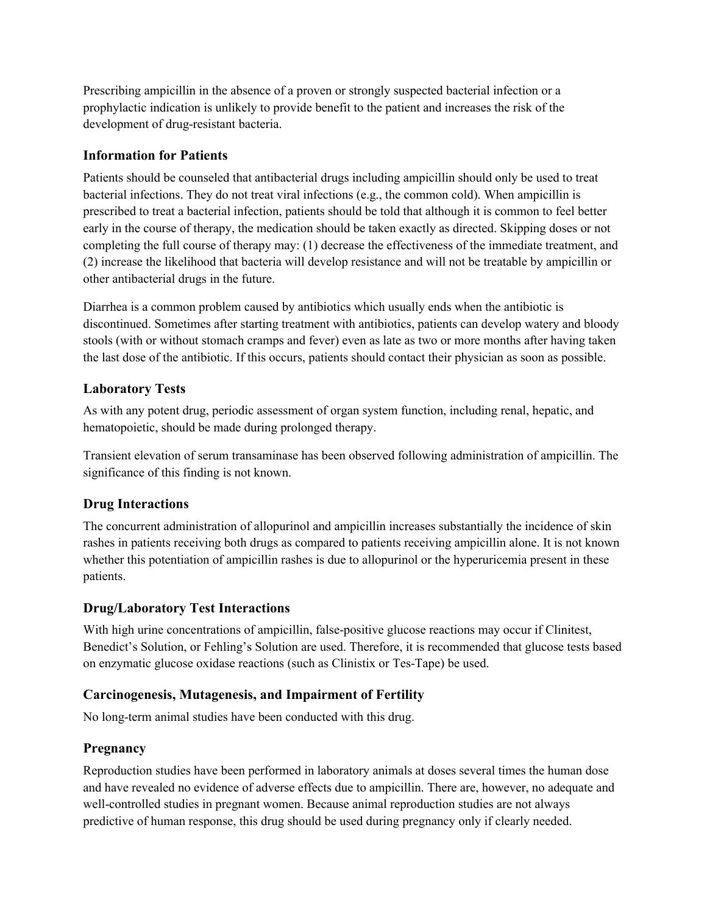Prescribing ampicillin in the absence of a proven or strongly suspected bacterial infection or a prophylactic indication is unlikely to provide benefit to the patient and increases the risk of the development of drug-resistant bacteria.

## **Information for Patients**

Patients should be counseled that antibacterial drugs including ampicillin should only be used to treat bacterial infections. They do not treat viral infections (e.g., the common cold). When ampicillin is prescribed to treat a bacterial infection, patients should be told that although it is common to feel better early in the course of therapy, the medication should be taken exactly as directed. Skipping doses or not completing the full course of therapy may: (1) decrease the effectiveness of the immediate treatment, and (2) increase the likelihood that bacteria will develop resistance and will not be treatable by ampicillin or other antibacterial drugs in the future.

Diarrhea is a common problem caused by antibiotics which usually ends when the antibiotic is discontinued. Sometimes after starting treatment with antibiotics, patients can develop watery and bloody stools (with or without stomach cramps and fever) even as late as two or more months after having taken the last dose of the antibiotic. If this occurs, patients should contact their physician as soon as possible.

### **Laboratory Tests**

As with any potent drug, periodic assessment of organ system function, including renal, hepatic, and hematopoietic, should be made during prolonged therapy.

Transient elevation of serum transaminase has been observed following administration of ampicillin. The significance of this finding is not known.

## **Drug Interactions**

The concurrent administration of allopurinol and ampicillin increases substantially the incidence of skin rashes in patients receiving both drugs as compared to patients receiving ampicillin alone. It is not known whether this potentiation of ampicillin rashes is due to allopurinol or the hyperuricemia present in these patients.

### **Drug/Laboratory Test Interactions**

With high urine concentrations of ampicillin, false-positive glucose reactions may occur if Clinitest, Benedict's Solution, or Fehling's Solution are used. Therefore, it is recommended that glucose tests based on enzymatic glucose oxidase reactions (such as Clinistix or Tes-Tape) be used.

## **Carcinogenesis, Mutagenesis, and Impairment of Fertility**

No long-term animal studies have been conducted with this drug.

### **Pregnancy**

Reproduction studies have been performed in laboratory animals at doses several times the human dose and have revealed no evidence of adverse effects due to ampicillin. There are, however, no adequate and well-controlled studies in pregnant women. Because animal reproduction studies are not always predictive of human response, this drug should be used during pregnancy only if clearly needed.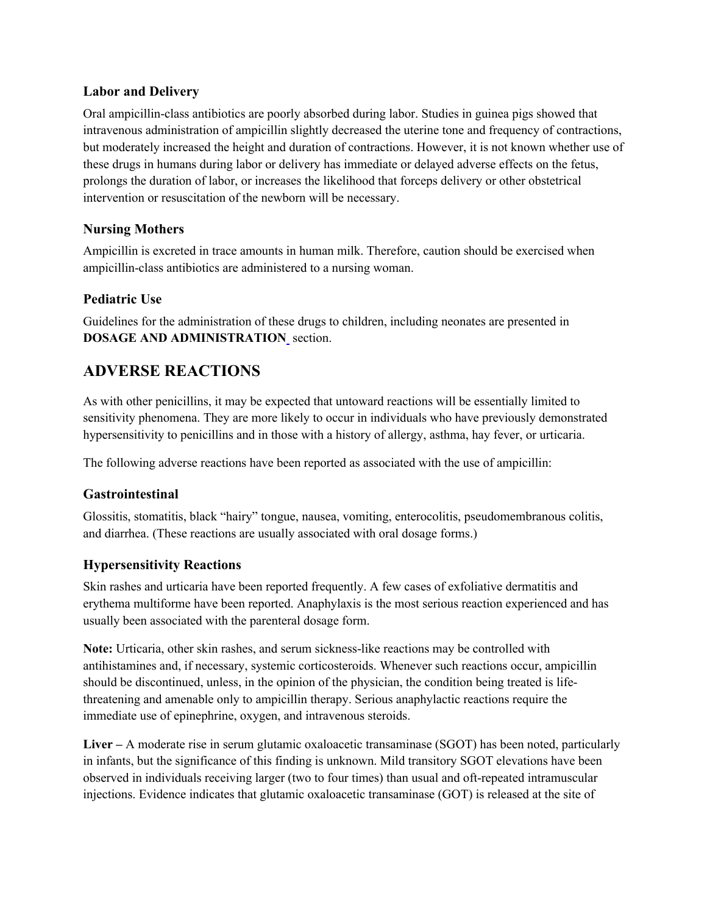### **Labor and Delivery**

Oral ampicillin-class antibiotics are poorly absorbed during labor. Studies in guinea pigs showed that intravenous administration of ampicillin slightly decreased the uterine tone and frequency of contractions, but moderately increased the height and duration of contractions. However, it is not known whether use of these drugs in humans during labor or delivery has immediate or delayed adverse effects on the fetus, prolongs the duration of labor, or increases the likelihood that forceps delivery or other obstetrical intervention or resuscitation of the newborn will be necessary.

### **Nursing Mothers**

Ampicillin is excreted in trace amounts in human milk. Therefore, caution should be exercised when ampicillin-class antibiotics are administered to a nursing woman.

## **Pediatric Use**

Guidelines for the administration of these drugs to children, including neonates are presented in **DOSAGE AND ADMINISTRATION** section.

## **ADVERSE REACTIONS**

As with other penicillins, it may be expected that untoward reactions will be essentially limited to sensitivity phenomena. They are more likely to occur in individuals who have previously demonstrated hypersensitivity to penicillins and in those with a history of allergy, asthma, hay fever, or urticaria.

The following adverse reactions have been reported as associated with the use of ampicillin:

## **Gastrointestinal**

Glossitis, stomatitis, black "hairy" tongue, nausea, vomiting, enterocolitis, pseudomembranous colitis, and diarrhea. (These reactions are usually associated with oral dosage forms.)

## **Hypersensitivity Reactions**

Skin rashes and urticaria have been reported frequently. A few cases of exfoliative dermatitis and erythema multiforme have been reported. Anaphylaxis is the most serious reaction experienced and has usually been associated with the parenteral dosage form.

**Note:** Urticaria, other skin rashes, and serum sickness-like reactions may be controlled with antihistamines and, if necessary, systemic corticosteroids. Whenever such reactions occur, ampicillin should be discontinued, unless, in the opinion of the physician, the condition being treated is lifethreatening and amenable only to ampicillin therapy. Serious anaphylactic reactions require the immediate use of epinephrine, oxygen, and intravenous steroids.

**Liver –** A moderate rise in serum glutamic oxaloacetic transaminase (SGOT) has been noted, particularly in infants, but the significance of this finding is unknown. Mild transitory SGOT elevations have been observed in individuals receiving larger (two to four times) than usual and oft-repeated intramuscular injections. Evidence indicates that glutamic oxaloacetic transaminase (GOT) is released at the site of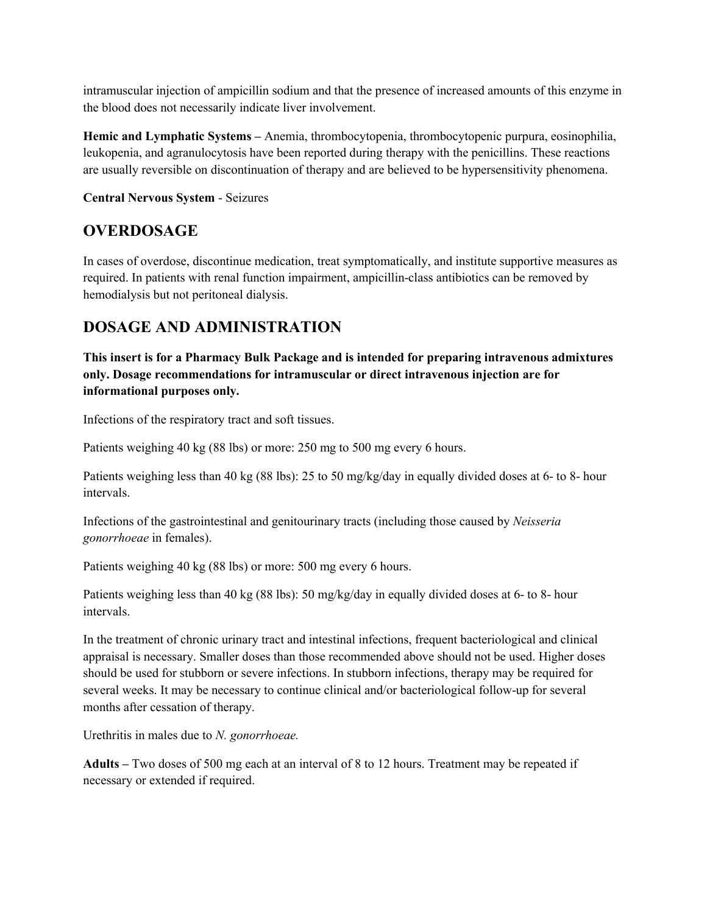intramuscular injection of ampicillin sodium and that the presence of increased amounts of this enzyme in the blood does not necessarily indicate liver involvement.

**Hemic and Lymphatic Systems –** Anemia, thrombocytopenia, thrombocytopenic purpura, eosinophilia, leukopenia, and agranulocytosis have been reported during therapy with the penicillins. These reactions are usually reversible on discontinuation of therapy and are believed to be hypersensitivity phenomena.

**Central Nervous System** - Seizures

## **OVERDOSAGE**

In cases of overdose, discontinue medication, treat symptomatically, and institute supportive measures as required. In patients with renal function impairment, ampicillin-class antibiotics can be removed by hemodialysis but not peritoneal dialysis.

## **DOSAGE AND ADMINISTRATION**

**This insert is for a Pharmacy Bulk Package and is intended for preparing intravenous admixtures only. Dosage recommendations for intramuscular or direct intravenous injection are for informational purposes only.**

Infections of the respiratory tract and soft tissues.

Patients weighing 40 kg (88 lbs) or more: 250 mg to 500 mg every 6 hours.

Patients weighing less than 40 kg (88 lbs): 25 to 50 mg/kg/day in equally divided doses at 6- to 8- hour intervals.

Infections of the gastrointestinal and genitourinary tracts (including those caused by *Neisseria gonorrhoeae* in females).

Patients weighing 40 kg (88 lbs) or more: 500 mg every 6 hours.

Patients weighing less than 40 kg (88 lbs): 50 mg/kg/day in equally divided doses at 6- to 8- hour intervals.

In the treatment of chronic urinary tract and intestinal infections, frequent bacteriological and clinical appraisal is necessary. Smaller doses than those recommended above should not be used. Higher doses should be used for stubborn or severe infections. In stubborn infections, therapy may be required for several weeks. It may be necessary to continue clinical and/or bacteriological follow-up for several months after cessation of therapy.

Urethritis in males due to *N. gonorrhoeae.*

**Adults –** Two doses of 500 mg each at an interval of 8 to 12 hours. Treatment may be repeated if necessary or extended if required.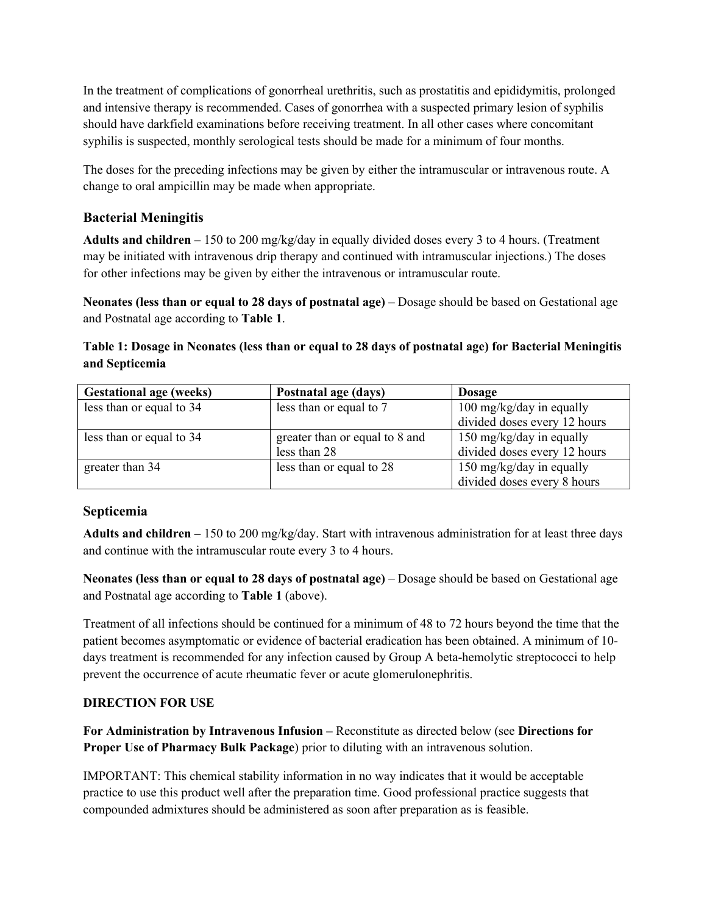In the treatment of complications of gonorrheal urethritis, such as prostatitis and epididymitis, prolonged and intensive therapy is recommended. Cases of gonorrhea with a suspected primary lesion of syphilis should have darkfield examinations before receiving treatment. In all other cases where concomitant syphilis is suspected, monthly serological tests should be made for a minimum of four months.

The doses for the preceding infections may be given by either the intramuscular or intravenous route. A change to oral ampicillin may be made when appropriate.

## **Bacterial Meningitis**

**Adults and children –** 150 to 200 mg/kg/day in equally divided doses every 3 to 4 hours. (Treatment may be initiated with intravenous drip therapy and continued with intramuscular injections.) The doses for other infections may be given by either the intravenous or intramuscular route.

**Neonates (less than or equal to 28 days of postnatal age)** – Dosage should be based on Gestational age and Postnatal age according to **Table 1**.

**Table 1: Dosage in Neonates (less than or equal to 28 days of postnatal age) for Bacterial Meningitis and Septicemia**

| <b>Gestational age (weeks)</b> | Postnatal age (days)           | <b>Dosage</b>                      |  |
|--------------------------------|--------------------------------|------------------------------------|--|
| less than or equal to 34       | less than or equal to 7        | $100 \text{ mg/kg/day}$ in equally |  |
|                                |                                | divided doses every 12 hours       |  |
| less than or equal to 34       | greater than or equal to 8 and | 150 mg/kg/day in equally           |  |
|                                | less than 28                   | divided doses every 12 hours       |  |
| greater than 34                | less than or equal to 28       | $150 \text{ mg/kg/day}$ in equally |  |
|                                |                                | divided doses every 8 hours        |  |

## **Septicemia**

**Adults and children –** 150 to 200 mg/kg/day. Start with intravenous administration for at least three days and continue with the intramuscular route every 3 to 4 hours.

**Neonates (less than or equal to 28 days of postnatal age)** – Dosage should be based on Gestational age and Postnatal age according to **Table 1** (above).

Treatment of all infections should be continued for a minimum of 48 to 72 hours beyond the time that the patient becomes asymptomatic or evidence of bacterial eradication has been obtained. A minimum of 10 days treatment is recommended for any infection caused by Group A beta-hemolytic streptococci to help prevent the occurrence of acute rheumatic fever or acute glomerulonephritis.

## **DIRECTION FOR USE**

**For Administration by Intravenous Infusion –** Reconstitute as directed below (see **Directions for Proper Use of Pharmacy Bulk Package**) prior to diluting with an intravenous solution.

IMPORTANT: This chemical stability information in no way indicates that it would be acceptable practice to use this product well after the preparation time. Good professional practice suggests that compounded admixtures should be administered as soon after preparation as is feasible.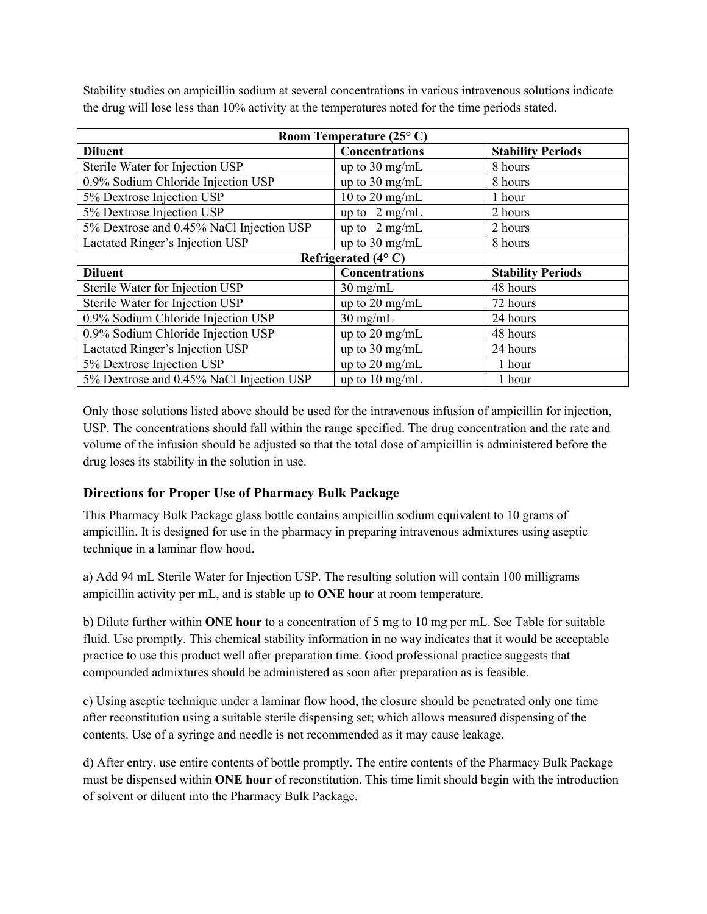Stability studies on ampicillin sodium at several concentrations in various intravenous solutions indicate the drug will lose less than 10% activity at the temperatures noted for the time periods stated.

| Room Temperature (25°C)                  |                          |                          |  |
|------------------------------------------|--------------------------|--------------------------|--|
| <b>Diluent</b>                           | <b>Concentrations</b>    | <b>Stability Periods</b> |  |
| Sterile Water for Injection USP          | up to $30 \text{ mg/mL}$ | 8 hours                  |  |
| 0.9% Sodium Chloride Injection USP       | up to $30 \text{ mg/mL}$ | 8 hours                  |  |
| 5% Dextrose Injection USP                | 10 to 20 mg/mL           | 1 hour                   |  |
| 5% Dextrose Injection USP                | up to $2 \text{ mg/mL}$  | 2 hours                  |  |
| 5% Dextrose and 0.45% NaCl Injection USP | up to $2 \text{ mg/mL}$  | 2 hours                  |  |
| Lactated Ringer's Injection USP          | up to $30 \text{ mg/mL}$ | 8 hours                  |  |
| Refrigerated $(4^{\circ} C)$             |                          |                          |  |
| <b>Diluent</b>                           | <b>Concentrations</b>    | <b>Stability Periods</b> |  |
| Sterile Water for Injection USP          | $30 \text{ mg/mL}$       | 48 hours                 |  |
| Sterile Water for Injection USP          | up to $20 \text{ mg/mL}$ | 72 hours                 |  |
| 0.9% Sodium Chloride Injection USP       | $30$ mg/mL               | 24 hours                 |  |
| 0.9% Sodium Chloride Injection USP       | up to $20 \text{ mg/mL}$ | 48 hours                 |  |
| Lactated Ringer's Injection USP          | up to $30 \text{ mg/mL}$ | 24 hours                 |  |
| 5% Dextrose Injection USP                | up to 20 mg/mL           | 1 hour                   |  |
| 5% Dextrose and 0.45% NaCl Injection USP | up to 10 mg/mL           | 1 hour                   |  |

Only those solutions listed above should be used for the intravenous infusion of ampicillin for injection, USP. The concentrations should fall within the range specified. The drug concentration and the rate and volume of the infusion should be adjusted so that the total dose of ampicillin is administered before the drug loses its stability in the solution in use.

### **Directions for Proper Use of Pharmacy Bulk Package**

This Pharmacy Bulk Package glass bottle contains ampicillin sodium equivalent to 10 grams of ampicillin. It is designed for use in the pharmacy in preparing intravenous admixtures using aseptic technique in a laminar flow hood.

a) Add 94 mL Sterile Water for Injection USP. The resulting solution will contain 100 milligrams ampicillin activity per mL, and is stable up to **ONE hour** at room temperature.

b) Dilute further within **ONE hour** to a concentration of 5 mg to 10 mg per mL. See Table for suitable fluid. Use promptly. This chemical stability information in no way indicates that it would be acceptable practice to use this product well after preparation time. Good professional practice suggests that compounded admixtures should be administered as soon after preparation as is feasible.

c) Using aseptic technique under a laminar flow hood, the closure should be penetrated only one time after reconstitution using a suitable sterile dispensing set; which allows measured dispensing of the contents. Use of a syringe and needle is not recommended as it may cause leakage.

d) After entry, use entire contents of bottle promptly. The entire contents of the Pharmacy Bulk Package must be dispensed within **ONE hour** of reconstitution. This time limit should begin with the introduction of solvent or diluent into the Pharmacy Bulk Package.